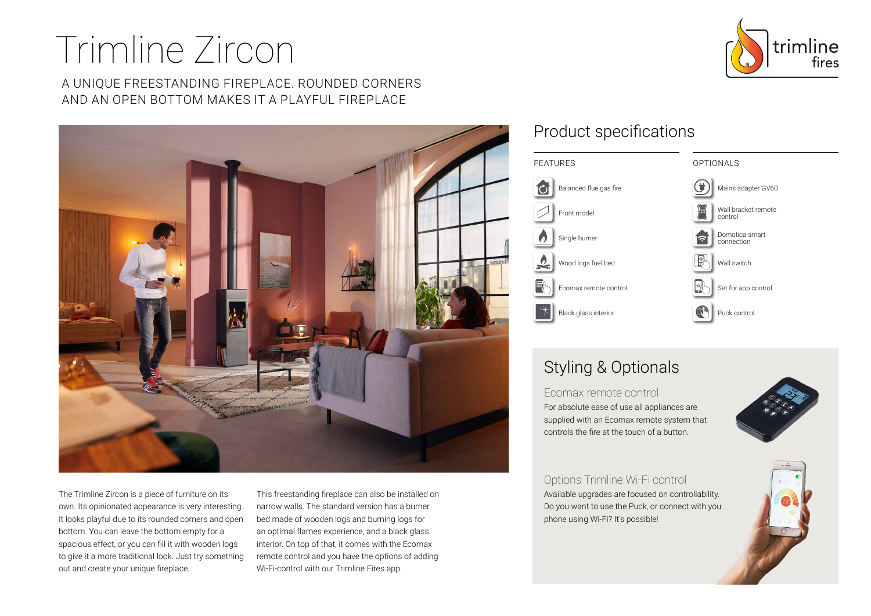# Trimline Zircon

A UNIQUE FREESTANDING FIREPLACE. ROUNDED CORNERS AND AN OPEN BOTTOM MAKES IT A PLAYFUL FIREPLACE



The Trimline Zircon is a piece of furniture on its own. Its opinionated appearance is very interesting. It looks playful due to its rounded corners and open bottom. You can leave the bottom empty for a spacious effect, or you can fill it with wooden logs to give it a more traditional look. Just try something out and create your unique fireplace.

This freestanding fireplace can also be installed on narrow walls. The standard version has a burner bed made of wooden logs and burning logs for an optimal flames experience, and a black glass interior. On top of that, it comes with the Ecomax remote control and you have the options of adding Wi-Fi-control with our Trimline Fires app.

### Product specifications



## Styling & Optionals

Ecomax remote control For absolute ease of use all appliances are supplied with an Ecomax remote system that controls the fire at the touch of a button.



Options Trimline Wi-Fi control Available upgrades are focused on controllability. Do you want to use the Puck, or connect with you phone using Wi-Fi? It's possible!